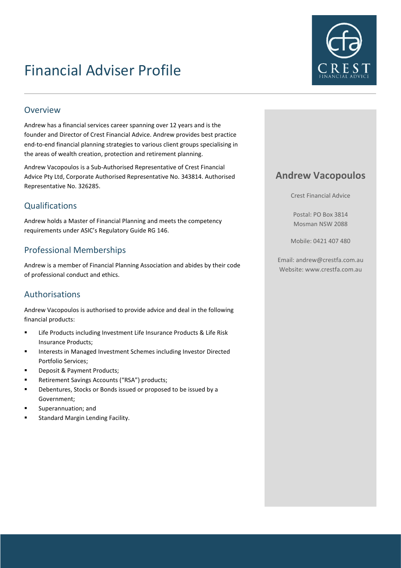# Financial Adviser Profile



### Overview

Andrew has a financial services career spanning over 12 years and is the founder and Director of Crest Financial Advice. Andrew provides best practice end-to-end financial planning strategies to various client groups specialising in the areas of wealth creation, protection and retirement planning.

Andrew Vacopoulos is a Sub-Authorised Representative of Crest Financial Advice Pty Ltd, Corporate Authorised Representative No. 343814. Authorised Representative No. 326285.

## Qualifications

Andrew holds a Master of Financial Planning and meets the competency requirements under ASIC's Regulatory Guide RG 146.

## Professional Memberships

Andrew is a member of Financial Planning Association and abides by their code of professional conduct and ethics.

## Authorisations

Andrew Vacopoulos is authorised to provide advice and deal in the following financial products:

- Life Products including Investment Life Insurance Products & Life Risk Insurance Products;
- Interests in Managed Investment Schemes including Investor Directed Portfolio Services;
- Deposit & Payment Products;
- Retirement Savings Accounts ("RSA") products;
- Debentures, Stocks or Bonds issued or proposed to be issued by a Government;
- Superannuation; and
- Standard Margin Lending Facility.

## **Andrew Vacopoulos**

Crest Financial Advice

Postal: PO Box 3814 Mosman NSW 2088

Mobile: 0421 407 480

Email: andrew@crestfa.com.au Website: www.crestfa.com.au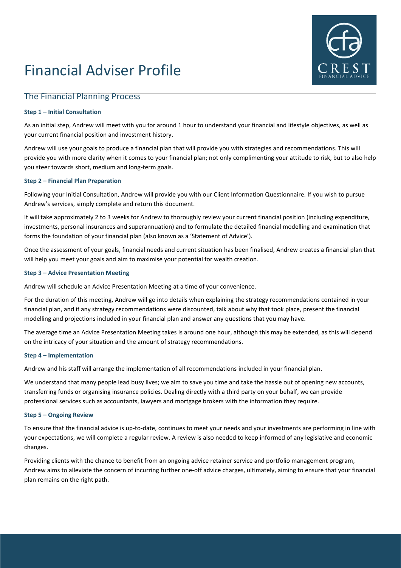# Financial Adviser Profile



### The Financial Planning Process

#### **Step 1 – Initial Consultation**

As an initial step, Andrew will meet with you for around 1 hour to understand your financial and lifestyle objectives, as well as your current financial position and investment history.

Andrew will use your goals to produce a financial plan that will provide you with strategies and recommendations. This will provide you with more clarity when it comes to your financial plan; not only complimenting your attitude to risk, but to also help you steer towards short, medium and long-term goals.

#### **Step 2 – Financial Plan Preparation**

Following your Initial Consultation, Andrew will provide you with our Client Information Questionnaire. If you wish to pursue Andrew's services, simply complete and return this document.

It will take approximately 2 to 3 weeks for Andrew to thoroughly review your current financial position (including expenditure, investments, personal insurances and superannuation) and to formulate the detailed financial modelling and examination that forms the foundation of your financial plan (also known as a 'Statement of Advice').

Once the assessment of your goals, financial needs and current situation has been finalised, Andrew creates a financial plan that will help you meet your goals and aim to maximise your potential for wealth creation.

#### **Step 3 – Advice Presentation Meeting**

Andrew will schedule an Advice Presentation Meeting at a time of your convenience.

For the duration of this meeting, Andrew will go into details when explaining the strategy recommendations contained in your financial plan, and if any strategy recommendations were discounted, talk about why that took place, present the financial modelling and projections included in your financial plan and answer any questions that you may have.

The average time an Advice Presentation Meeting takes is around one hour, although this may be extended, as this will depend on the intricacy of your situation and the amount of strategy recommendations.

#### **Step 4 – Implementation**

Andrew and his staff will arrange the implementation of all recommendations included in your financial plan.

We understand that many people lead busy lives; we aim to save you time and take the hassle out of opening new accounts, transferring funds or organising insurance policies. Dealing directly with a third party on your behalf, we can provide professional services such as accountants, lawyers and mortgage brokers with the information they require.

#### **Step 5 – Ongoing Review**

To ensure that the financial advice is up-to-date, continues to meet your needs and your investments are performing in line with your expectations, we will complete a regular review. A review is also needed to keep informed of any legislative and economic changes.

Providing clients with the chance to benefit from an ongoing advice retainer service and portfolio management program, Andrew aims to alleviate the concern of incurring further one-off advice charges, ultimately, aiming to ensure that your financial plan remains on the right path.